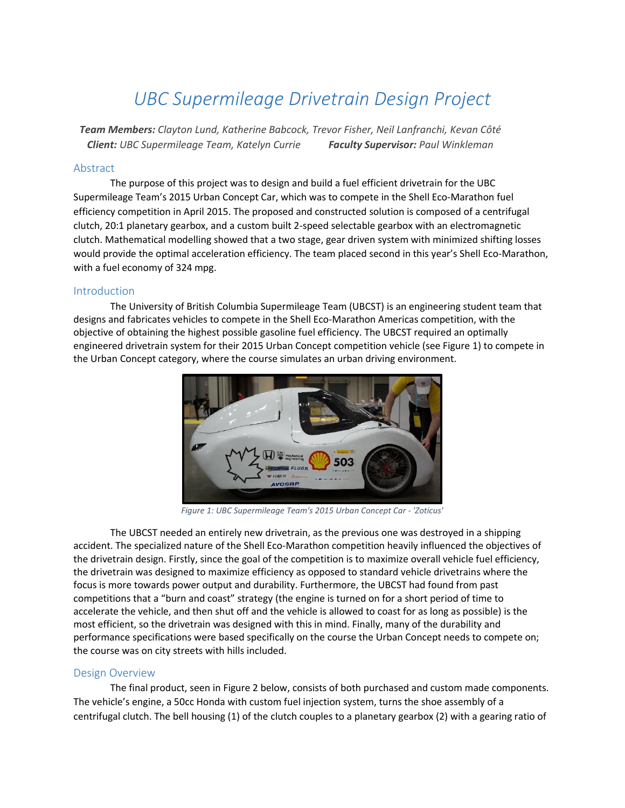# *UBC Supermileage Drivetrain Design Project*

*Team Members: Clayton Lund, Katherine Babcock, Trevor Fisher, Neil Lanfranchi, Kevan Côté Client: UBC Supermileage Team, Katelyn Currie Faculty Supervisor: Paul Winkleman*

#### Abstract

The purpose of this project was to design and build a fuel efficient drivetrain for the UBC Supermileage Team's 2015 Urban Concept Car, which was to compete in the Shell Eco-Marathon fuel efficiency competition in April 2015. The proposed and constructed solution is composed of a centrifugal clutch, 20:1 planetary gearbox, and a custom built 2-speed selectable gearbox with an electromagnetic clutch. Mathematical modelling showed that a two stage, gear driven system with minimized shifting losses would provide the optimal acceleration efficiency. The team placed second in this year's Shell Eco-Marathon, with a fuel economy of 324 mpg.

### Introduction

The University of British Columbia Supermileage Team (UBCST) is an engineering student team that designs and fabricates vehicles to compete in the Shell Eco-Marathon Americas competition, with the objective of obtaining the highest possible gasoline fuel efficiency. The UBCST required an optimally engineered drivetrain system for their 2015 Urban Concept competition vehicle (see Figure 1) to compete in the Urban Concept category, where the course simulates an urban driving environment.



*Figure 1: UBC Supermileage Team's 2015 Urban Concept Car - 'Zoticus'*

The UBCST needed an entirely new drivetrain, as the previous one was destroyed in a shipping accident. The specialized nature of the Shell Eco-Marathon competition heavily influenced the objectives of the drivetrain design. Firstly, since the goal of the competition is to maximize overall vehicle fuel efficiency, the drivetrain was designed to maximize efficiency as opposed to standard vehicle drivetrains where the focus is more towards power output and durability. Furthermore, the UBCST had found from past competitions that a "burn and coast" strategy (the engine is turned on for a short period of time to accelerate the vehicle, and then shut off and the vehicle is allowed to coast for as long as possible) is the most efficient, so the drivetrain was designed with this in mind. Finally, many of the durability and performance specifications were based specifically on the course the Urban Concept needs to compete on; the course was on city streets with hills included.

## Design Overview

The final product, seen in Figure 2 below, consists of both purchased and custom made components. The vehicle's engine, a 50cc Honda with custom fuel injection system, turns the shoe assembly of a centrifugal clutch. The bell housing (1) of the clutch couples to a planetary gearbox (2) with a gearing ratio of